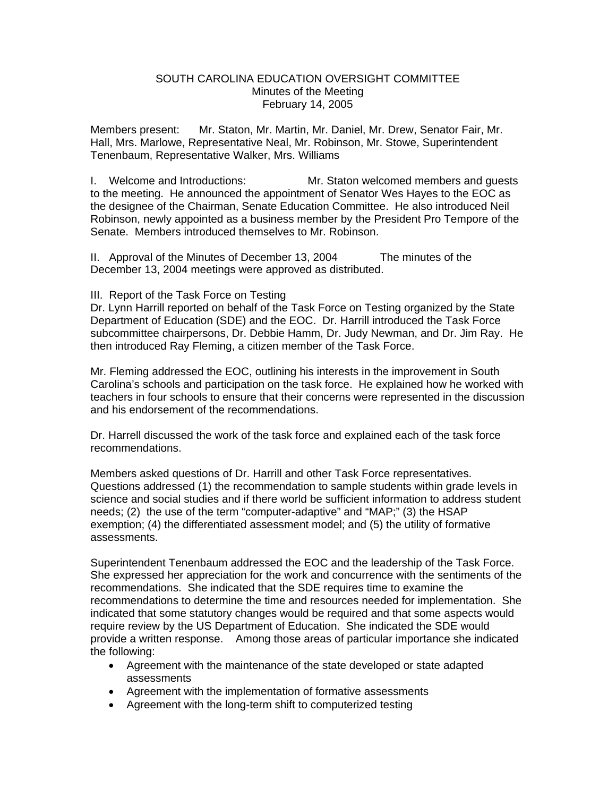#### SOUTH CAROLINA EDUCATION OVERSIGHT COMMITTEE Minutes of the Meeting February 14, 2005

Members present: Mr. Staton, Mr. Martin, Mr. Daniel, Mr. Drew, Senator Fair, Mr. Hall, Mrs. Marlowe, Representative Neal, Mr. Robinson, Mr. Stowe, Superintendent Tenenbaum, Representative Walker, Mrs. Williams

I. Welcome and Introductions: Mr. Staton welcomed members and guests to the meeting. He announced the appointment of Senator Wes Hayes to the EOC as the designee of the Chairman, Senate Education Committee. He also introduced Neil Robinson, newly appointed as a business member by the President Pro Tempore of the Senate. Members introduced themselves to Mr. Robinson.

II. Approval of the Minutes of December 13, 2004 The minutes of the December 13, 2004 meetings were approved as distributed.

#### III. Report of the Task Force on Testing

Dr. Lynn Harrill reported on behalf of the Task Force on Testing organized by the State Department of Education (SDE) and the EOC. Dr. Harrill introduced the Task Force subcommittee chairpersons, Dr. Debbie Hamm, Dr. Judy Newman, and Dr. Jim Ray. He then introduced Ray Fleming, a citizen member of the Task Force.

Mr. Fleming addressed the EOC, outlining his interests in the improvement in South Carolina's schools and participation on the task force. He explained how he worked with teachers in four schools to ensure that their concerns were represented in the discussion and his endorsement of the recommendations.

Dr. Harrell discussed the work of the task force and explained each of the task force recommendations.

Members asked questions of Dr. Harrill and other Task Force representatives. Questions addressed (1) the recommendation to sample students within grade levels in science and social studies and if there world be sufficient information to address student needs; (2) the use of the term "computer-adaptive" and "MAP;" (3) the HSAP exemption; (4) the differentiated assessment model; and (5) the utility of formative assessments.

Superintendent Tenenbaum addressed the EOC and the leadership of the Task Force. She expressed her appreciation for the work and concurrence with the sentiments of the recommendations. She indicated that the SDE requires time to examine the recommendations to determine the time and resources needed for implementation. She indicated that some statutory changes would be required and that some aspects would require review by the US Department of Education. She indicated the SDE would provide a written response. Among those areas of particular importance she indicated the following:

- Agreement with the maintenance of the state developed or state adapted assessments
- Agreement with the implementation of formative assessments
- Agreement with the long-term shift to computerized testing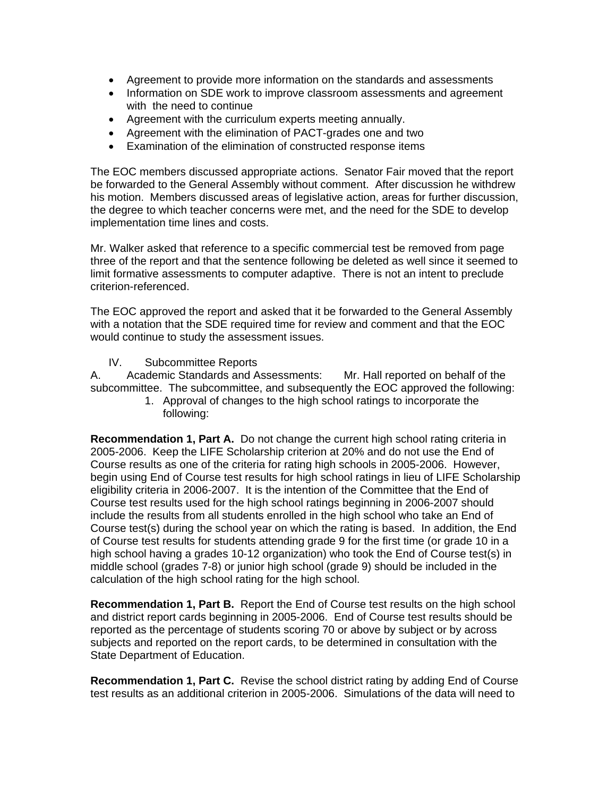- Agreement to provide more information on the standards and assessments
- Information on SDE work to improve classroom assessments and agreement with the need to continue
- Agreement with the curriculum experts meeting annually.
- Agreement with the elimination of PACT-grades one and two
- Examination of the elimination of constructed response items

The EOC members discussed appropriate actions. Senator Fair moved that the report be forwarded to the General Assembly without comment. After discussion he withdrew his motion. Members discussed areas of legislative action, areas for further discussion, the degree to which teacher concerns were met, and the need for the SDE to develop implementation time lines and costs.

Mr. Walker asked that reference to a specific commercial test be removed from page three of the report and that the sentence following be deleted as well since it seemed to limit formative assessments to computer adaptive. There is not an intent to preclude criterion-referenced.

The EOC approved the report and asked that it be forwarded to the General Assembly with a notation that the SDE required time for review and comment and that the EOC would continue to study the assessment issues.

IV. Subcommittee Reports

A. Academic Standards and Assessments: Mr. Hall reported on behalf of the subcommittee. The subcommittee, and subsequently the EOC approved the following:

1. Approval of changes to the high school ratings to incorporate the following:

**Recommendation 1, Part A.** Do not change the current high school rating criteria in 2005-2006. Keep the LIFE Scholarship criterion at 20% and do not use the End of Course results as one of the criteria for rating high schools in 2005-2006. However, begin using End of Course test results for high school ratings in lieu of LIFE Scholarship eligibility criteria in 2006-2007. It is the intention of the Committee that the End of Course test results used for the high school ratings beginning in 2006-2007 should include the results from all students enrolled in the high school who take an End of Course test(s) during the school year on which the rating is based. In addition, the End of Course test results for students attending grade 9 for the first time (or grade 10 in a high school having a grades 10-12 organization) who took the End of Course test(s) in middle school (grades 7-8) or junior high school (grade 9) should be included in the calculation of the high school rating for the high school.

**Recommendation 1, Part B.** Report the End of Course test results on the high school and district report cards beginning in 2005-2006. End of Course test results should be reported as the percentage of students scoring 70 or above by subject or by across subjects and reported on the report cards, to be determined in consultation with the State Department of Education.

**Recommendation 1, Part C.** Revise the school district rating by adding End of Course test results as an additional criterion in 2005-2006. Simulations of the data will need to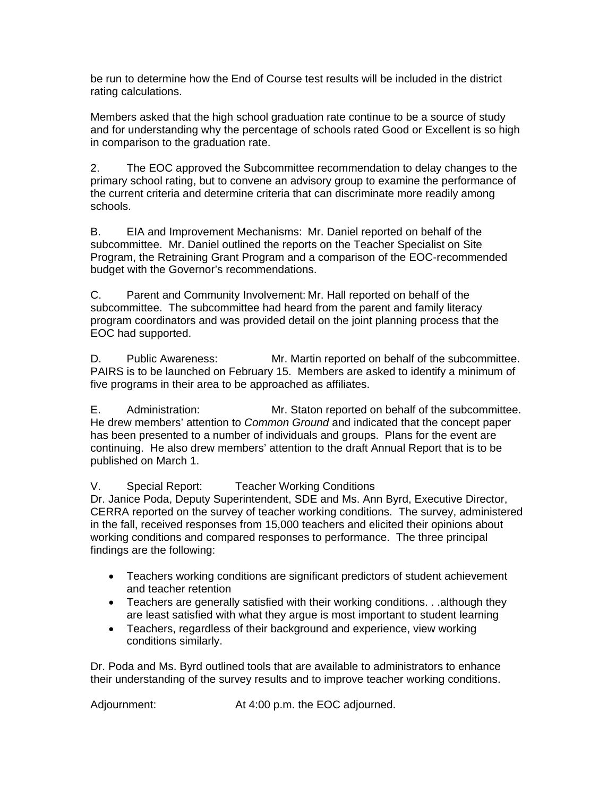be run to determine how the End of Course test results will be included in the district rating calculations.

Members asked that the high school graduation rate continue to be a source of study and for understanding why the percentage of schools rated Good or Excellent is so high in comparison to the graduation rate.

2. The EOC approved the Subcommittee recommendation to delay changes to the primary school rating, but to convene an advisory group to examine the performance of the current criteria and determine criteria that can discriminate more readily among schools.

B. EIA and Improvement Mechanisms: Mr. Daniel reported on behalf of the subcommittee. Mr. Daniel outlined the reports on the Teacher Specialist on Site Program, the Retraining Grant Program and a comparison of the EOC-recommended budget with the Governor's recommendations.

C. Parent and Community Involvement: Mr. Hall reported on behalf of the subcommittee. The subcommittee had heard from the parent and family literacy program coordinators and was provided detail on the joint planning process that the EOC had supported.

D. Public Awareness: Mr. Martin reported on behalf of the subcommittee. PAIRS is to be launched on February 15. Members are asked to identify a minimum of five programs in their area to be approached as affiliates.

E. Administration: Mr. Staton reported on behalf of the subcommittee. He drew members' attention to *Common Ground* and indicated that the concept paper has been presented to a number of individuals and groups. Plans for the event are continuing. He also drew members' attention to the draft Annual Report that is to be published on March 1.

V. Special Report: Teacher Working Conditions

Dr. Janice Poda, Deputy Superintendent, SDE and Ms. Ann Byrd, Executive Director, CERRA reported on the survey of teacher working conditions. The survey, administered in the fall, received responses from 15,000 teachers and elicited their opinions about working conditions and compared responses to performance. The three principal findings are the following:

- Teachers working conditions are significant predictors of student achievement and teacher retention
- Teachers are generally satisfied with their working conditions. . .although they are least satisfied with what they argue is most important to student learning
- Teachers, regardless of their background and experience, view working conditions similarly.

Dr. Poda and Ms. Byrd outlined tools that are available to administrators to enhance their understanding of the survey results and to improve teacher working conditions.

Adjournment: At 4:00 p.m. the EOC adjourned.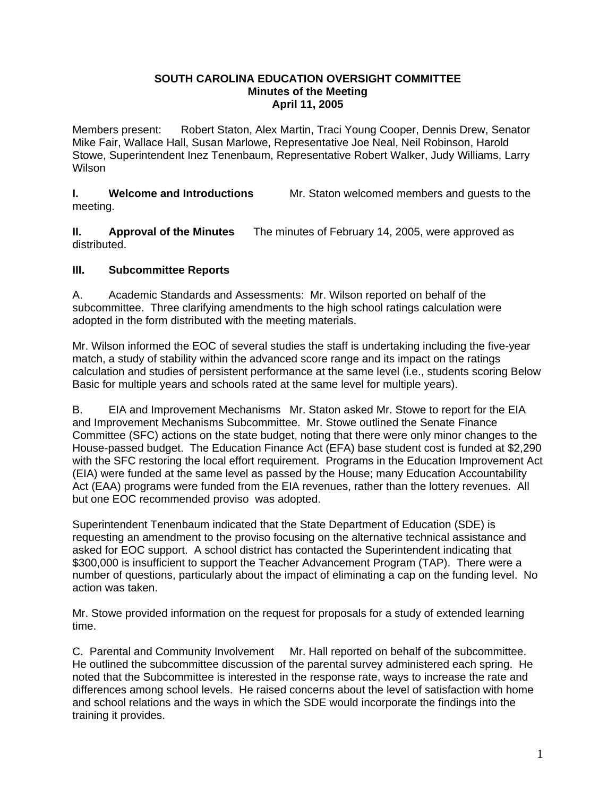### **SOUTH CAROLINA EDUCATION OVERSIGHT COMMITTEE Minutes of the Meeting April 11, 2005**

Members present: Robert Staton, Alex Martin, Traci Young Cooper, Dennis Drew, Senator Mike Fair, Wallace Hall, Susan Marlowe, Representative Joe Neal, Neil Robinson, Harold Stowe, Superintendent Inez Tenenbaum, Representative Robert Walker, Judy Williams, Larry Wilson

**I. Welcome and Introductions** Mr. Staton welcomed members and guests to the meeting.

**II.** Approval of the Minutes The minutes of February 14, 2005, were approved as distributed.

# **III. Subcommittee Reports**

A. Academic Standards and Assessments: Mr. Wilson reported on behalf of the subcommittee. Three clarifying amendments to the high school ratings calculation were adopted in the form distributed with the meeting materials.

Mr. Wilson informed the EOC of several studies the staff is undertaking including the five-year match, a study of stability within the advanced score range and its impact on the ratings calculation and studies of persistent performance at the same level (i.e., students scoring Below Basic for multiple years and schools rated at the same level for multiple years).

B. EIA and Improvement Mechanisms Mr. Staton asked Mr. Stowe to report for the EIA and Improvement Mechanisms Subcommittee. Mr. Stowe outlined the Senate Finance Committee (SFC) actions on the state budget, noting that there were only minor changes to the House-passed budget. The Education Finance Act (EFA) base student cost is funded at \$2,290 with the SFC restoring the local effort requirement. Programs in the Education Improvement Act (EIA) were funded at the same level as passed by the House; many Education Accountability Act (EAA) programs were funded from the EIA revenues, rather than the lottery revenues. All but one EOC recommended proviso was adopted.

Superintendent Tenenbaum indicated that the State Department of Education (SDE) is requesting an amendment to the proviso focusing on the alternative technical assistance and asked for EOC support. A school district has contacted the Superintendent indicating that \$300,000 is insufficient to support the Teacher Advancement Program (TAP). There were a number of questions, particularly about the impact of eliminating a cap on the funding level. No action was taken.

Mr. Stowe provided information on the request for proposals for a study of extended learning time.

C. Parental and Community Involvement Mr. Hall reported on behalf of the subcommittee. He outlined the subcommittee discussion of the parental survey administered each spring. He noted that the Subcommittee is interested in the response rate, ways to increase the rate and differences among school levels. He raised concerns about the level of satisfaction with home and school relations and the ways in which the SDE would incorporate the findings into the training it provides.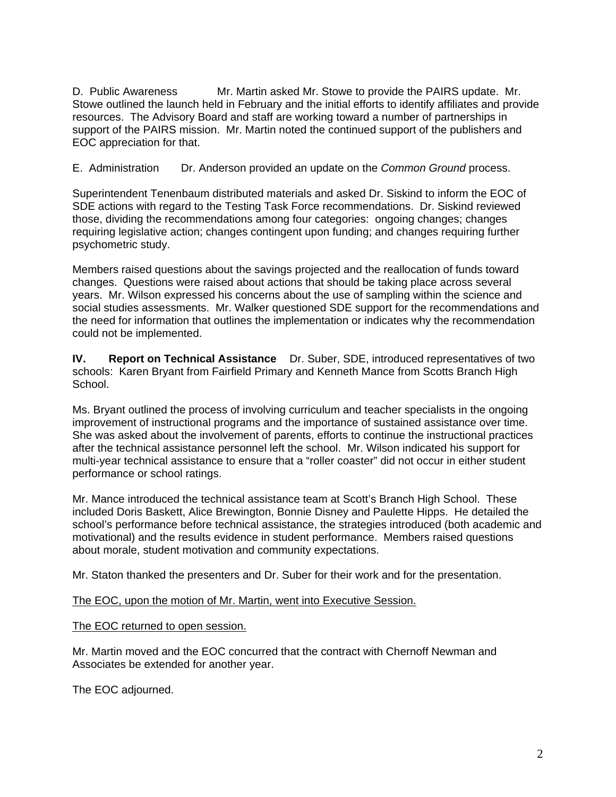D. Public Awareness Mr. Martin asked Mr. Stowe to provide the PAIRS update. Mr. Stowe outlined the launch held in February and the initial efforts to identify affiliates and provide resources. The Advisory Board and staff are working toward a number of partnerships in support of the PAIRS mission. Mr. Martin noted the continued support of the publishers and EOC appreciation for that.

E. Administration Dr. Anderson provided an update on the *Common Ground* process.

Superintendent Tenenbaum distributed materials and asked Dr. Siskind to inform the EOC of SDE actions with regard to the Testing Task Force recommendations. Dr. Siskind reviewed those, dividing the recommendations among four categories: ongoing changes; changes requiring legislative action; changes contingent upon funding; and changes requiring further psychometric study.

Members raised questions about the savings projected and the reallocation of funds toward changes. Questions were raised about actions that should be taking place across several years. Mr. Wilson expressed his concerns about the use of sampling within the science and social studies assessments. Mr. Walker questioned SDE support for the recommendations and the need for information that outlines the implementation or indicates why the recommendation could not be implemented.

**IV.** Report on Technical Assistance Dr. Suber, SDE, introduced representatives of two schools: Karen Bryant from Fairfield Primary and Kenneth Mance from Scotts Branch High School.

Ms. Bryant outlined the process of involving curriculum and teacher specialists in the ongoing improvement of instructional programs and the importance of sustained assistance over time. She was asked about the involvement of parents, efforts to continue the instructional practices after the technical assistance personnel left the school. Mr. Wilson indicated his support for multi-year technical assistance to ensure that a "roller coaster" did not occur in either student performance or school ratings.

Mr. Mance introduced the technical assistance team at Scott's Branch High School. These included Doris Baskett, Alice Brewington, Bonnie Disney and Paulette Hipps. He detailed the school's performance before technical assistance, the strategies introduced (both academic and motivational) and the results evidence in student performance. Members raised questions about morale, student motivation and community expectations.

Mr. Staton thanked the presenters and Dr. Suber for their work and for the presentation.

The EOC, upon the motion of Mr. Martin, went into Executive Session.

The EOC returned to open session.

Mr. Martin moved and the EOC concurred that the contract with Chernoff Newman and Associates be extended for another year.

The EOC adjourned.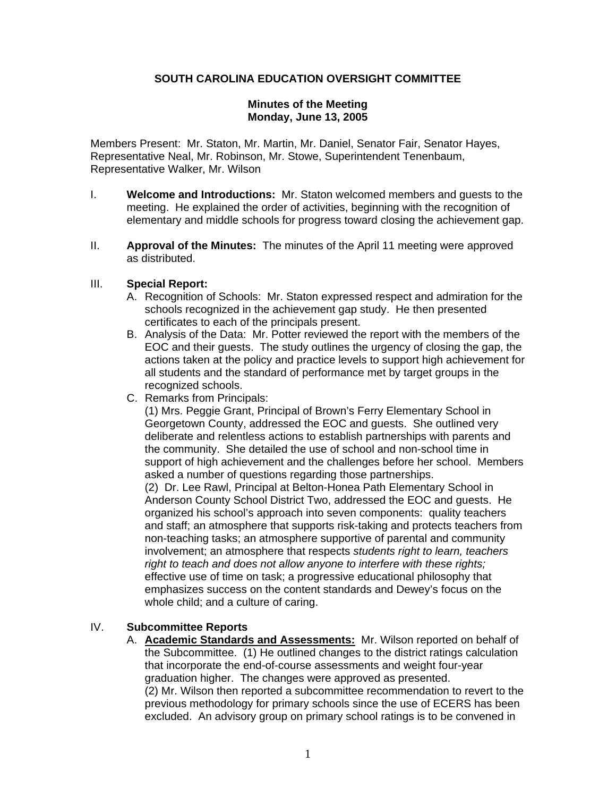## **SOUTH CAROLINA EDUCATION OVERSIGHT COMMITTEE**

### **Minutes of the Meeting Monday, June 13, 2005**

Members Present: Mr. Staton, Mr. Martin, Mr. Daniel, Senator Fair, Senator Hayes, Representative Neal, Mr. Robinson, Mr. Stowe, Superintendent Tenenbaum, Representative Walker, Mr. Wilson

- I. **Welcome and Introductions:** Mr. Staton welcomed members and guests to the meeting. He explained the order of activities, beginning with the recognition of elementary and middle schools for progress toward closing the achievement gap.
- II. **Approval of the Minutes:** The minutes of the April 11 meeting were approved as distributed.

### III. **Special Report:**

- A. Recognition of Schools: Mr. Staton expressed respect and admiration for the schools recognized in the achievement gap study. He then presented certificates to each of the principals present.
- B. Analysis of the Data: Mr. Potter reviewed the report with the members of the EOC and their guests. The study outlines the urgency of closing the gap, the actions taken at the policy and practice levels to support high achievement for all students and the standard of performance met by target groups in the recognized schools.
- C. Remarks from Principals:

(1) Mrs. Peggie Grant, Principal of Brown's Ferry Elementary School in Georgetown County, addressed the EOC and guests. She outlined very deliberate and relentless actions to establish partnerships with parents and the community. She detailed the use of school and non-school time in support of high achievement and the challenges before her school. Members asked a number of questions regarding those partnerships.

 (2) Dr. Lee Rawl, Principal at Belton-Honea Path Elementary School in Anderson County School District Two, addressed the EOC and guests. He organized his school's approach into seven components: quality teachers and staff; an atmosphere that supports risk-taking and protects teachers from non-teaching tasks; an atmosphere supportive of parental and community involvement; an atmosphere that respects *students right to learn, teachers right to teach and does not allow anyone to interfere with these rights;*  effective use of time on task; a progressive educational philosophy that emphasizes success on the content standards and Dewey's focus on the whole child; and a culture of caring.

## IV. **Subcommittee Reports**

A. **Academic Standards and Assessments:** Mr. Wilson reported on behalf of the Subcommittee. (1) He outlined changes to the district ratings calculation that incorporate the end-of-course assessments and weight four-year graduation higher. The changes were approved as presented. (2) Mr. Wilson then reported a subcommittee recommendation to revert to the previous methodology for primary schools since the use of ECERS has been excluded. An advisory group on primary school ratings is to be convened in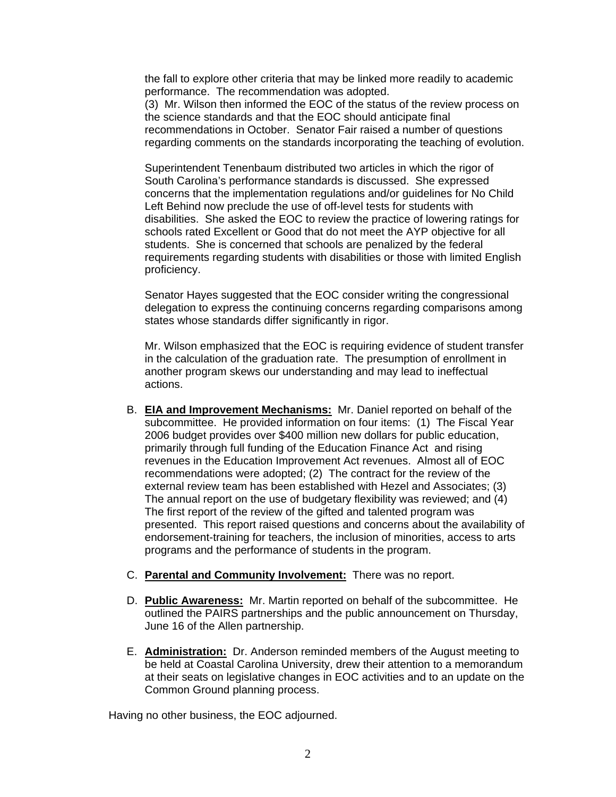the fall to explore other criteria that may be linked more readily to academic performance. The recommendation was adopted.

(3) Mr. Wilson then informed the EOC of the status of the review process on the science standards and that the EOC should anticipate final recommendations in October. Senator Fair raised a number of questions regarding comments on the standards incorporating the teaching of evolution.

Superintendent Tenenbaum distributed two articles in which the rigor of South Carolina's performance standards is discussed. She expressed concerns that the implementation regulations and/or guidelines for No Child Left Behind now preclude the use of off-level tests for students with disabilities. She asked the EOC to review the practice of lowering ratings for schools rated Excellent or Good that do not meet the AYP objective for all students. She is concerned that schools are penalized by the federal requirements regarding students with disabilities or those with limited English proficiency.

Senator Hayes suggested that the EOC consider writing the congressional delegation to express the continuing concerns regarding comparisons among states whose standards differ significantly in rigor.

Mr. Wilson emphasized that the EOC is requiring evidence of student transfer in the calculation of the graduation rate. The presumption of enrollment in another program skews our understanding and may lead to ineffectual actions.

- B. **EIA and Improvement Mechanisms:** Mr. Daniel reported on behalf of the subcommittee. He provided information on four items: (1) The Fiscal Year 2006 budget provides over \$400 million new dollars for public education, primarily through full funding of the Education Finance Act and rising revenues in the Education Improvement Act revenues. Almost all of EOC recommendations were adopted; (2) The contract for the review of the external review team has been established with Hezel and Associates; (3) The annual report on the use of budgetary flexibility was reviewed; and (4) The first report of the review of the gifted and talented program was presented. This report raised questions and concerns about the availability of endorsement-training for teachers, the inclusion of minorities, access to arts programs and the performance of students in the program.
- C. **Parental and Community Involvement:** There was no report.
- D. **Public Awareness:** Mr. Martin reported on behalf of the subcommittee. He outlined the PAIRS partnerships and the public announcement on Thursday, June 16 of the Allen partnership.
- E. **Administration:** Dr. Anderson reminded members of the August meeting to be held at Coastal Carolina University, drew their attention to a memorandum at their seats on legislative changes in EOC activities and to an update on the Common Ground planning process.

Having no other business, the EOC adjourned.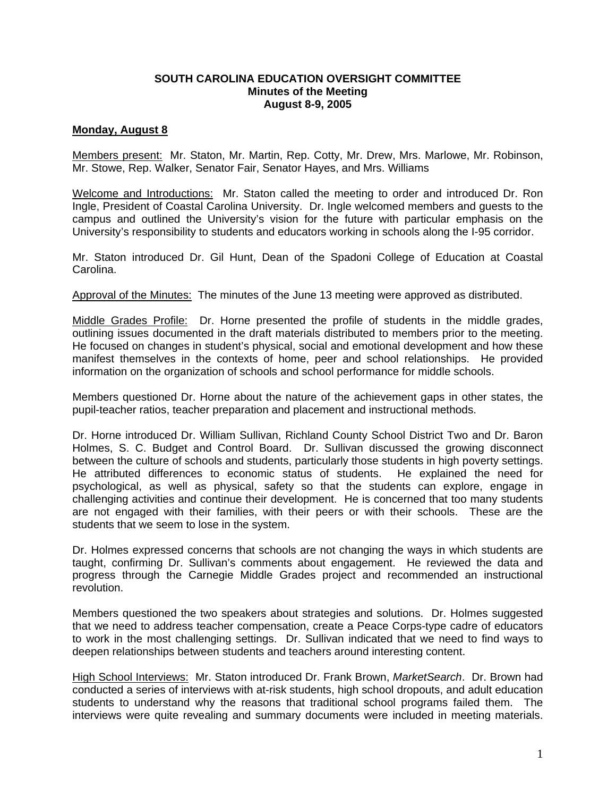### **SOUTH CAROLINA EDUCATION OVERSIGHT COMMITTEE Minutes of the Meeting August 8-9, 2005**

## **Monday, August 8**

Members present: Mr. Staton, Mr. Martin, Rep. Cotty, Mr. Drew, Mrs. Marlowe, Mr. Robinson, Mr. Stowe, Rep. Walker, Senator Fair, Senator Hayes, and Mrs. Williams

Welcome and Introductions: Mr. Staton called the meeting to order and introduced Dr. Ron Ingle, President of Coastal Carolina University. Dr. Ingle welcomed members and guests to the campus and outlined the University's vision for the future with particular emphasis on the University's responsibility to students and educators working in schools along the I-95 corridor.

Mr. Staton introduced Dr. Gil Hunt, Dean of the Spadoni College of Education at Coastal Carolina.

Approval of the Minutes: The minutes of the June 13 meeting were approved as distributed.

Middle Grades Profile: Dr. Horne presented the profile of students in the middle grades, outlining issues documented in the draft materials distributed to members prior to the meeting. He focused on changes in student's physical, social and emotional development and how these manifest themselves in the contexts of home, peer and school relationships. He provided information on the organization of schools and school performance for middle schools.

Members questioned Dr. Horne about the nature of the achievement gaps in other states, the pupil-teacher ratios, teacher preparation and placement and instructional methods.

Dr. Horne introduced Dr. William Sullivan, Richland County School District Two and Dr. Baron Holmes, S. C. Budget and Control Board. Dr. Sullivan discussed the growing disconnect between the culture of schools and students, particularly those students in high poverty settings. He attributed differences to economic status of students. He explained the need for psychological, as well as physical, safety so that the students can explore, engage in challenging activities and continue their development. He is concerned that too many students are not engaged with their families, with their peers or with their schools. These are the students that we seem to lose in the system.

Dr. Holmes expressed concerns that schools are not changing the ways in which students are taught, confirming Dr. Sullivan's comments about engagement. He reviewed the data and progress through the Carnegie Middle Grades project and recommended an instructional revolution.

Members questioned the two speakers about strategies and solutions. Dr. Holmes suggested that we need to address teacher compensation, create a Peace Corps-type cadre of educators to work in the most challenging settings. Dr. Sullivan indicated that we need to find ways to deepen relationships between students and teachers around interesting content.

High School Interviews: Mr. Staton introduced Dr. Frank Brown, *MarketSearch*. Dr. Brown had conducted a series of interviews with at-risk students, high school dropouts, and adult education students to understand why the reasons that traditional school programs failed them. The interviews were quite revealing and summary documents were included in meeting materials.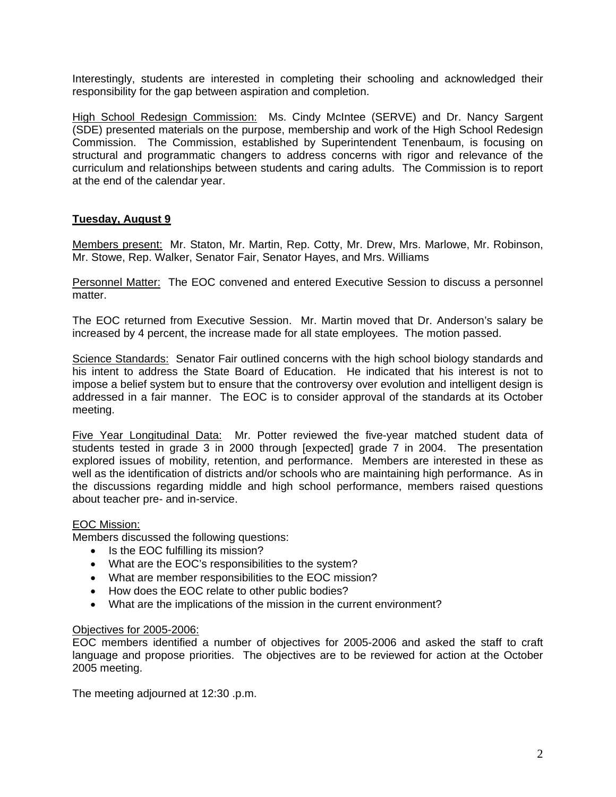Interestingly, students are interested in completing their schooling and acknowledged their responsibility for the gap between aspiration and completion.

High School Redesign Commission: Ms. Cindy McIntee (SERVE) and Dr. Nancy Sargent (SDE) presented materials on the purpose, membership and work of the High School Redesign Commission. The Commission, established by Superintendent Tenenbaum, is focusing on structural and programmatic changers to address concerns with rigor and relevance of the curriculum and relationships between students and caring adults. The Commission is to report at the end of the calendar year.

# **Tuesday, August 9**

Members present: Mr. Staton, Mr. Martin, Rep. Cotty, Mr. Drew, Mrs. Marlowe, Mr. Robinson, Mr. Stowe, Rep. Walker, Senator Fair, Senator Hayes, and Mrs. Williams

Personnel Matter: The EOC convened and entered Executive Session to discuss a personnel matter.

The EOC returned from Executive Session. Mr. Martin moved that Dr. Anderson's salary be increased by 4 percent, the increase made for all state employees. The motion passed.

Science Standards: Senator Fair outlined concerns with the high school biology standards and his intent to address the State Board of Education. He indicated that his interest is not to impose a belief system but to ensure that the controversy over evolution and intelligent design is addressed in a fair manner. The EOC is to consider approval of the standards at its October meeting.

Five Year Longitudinal Data: Mr. Potter reviewed the five-year matched student data of students tested in grade 3 in 2000 through [expected] grade 7 in 2004. The presentation explored issues of mobility, retention, and performance. Members are interested in these as well as the identification of districts and/or schools who are maintaining high performance. As in the discussions regarding middle and high school performance, members raised questions about teacher pre- and in-service.

#### EOC Mission:

Members discussed the following questions:

- Is the EOC fulfilling its mission?
- What are the EOC's responsibilities to the system?
- What are member responsibilities to the EOC mission?
- How does the EOC relate to other public bodies?
- What are the implications of the mission in the current environment?

#### Objectives for 2005-2006:

EOC members identified a number of objectives for 2005-2006 and asked the staff to craft language and propose priorities. The objectives are to be reviewed for action at the October 2005 meeting.

The meeting adjourned at 12:30 .p.m.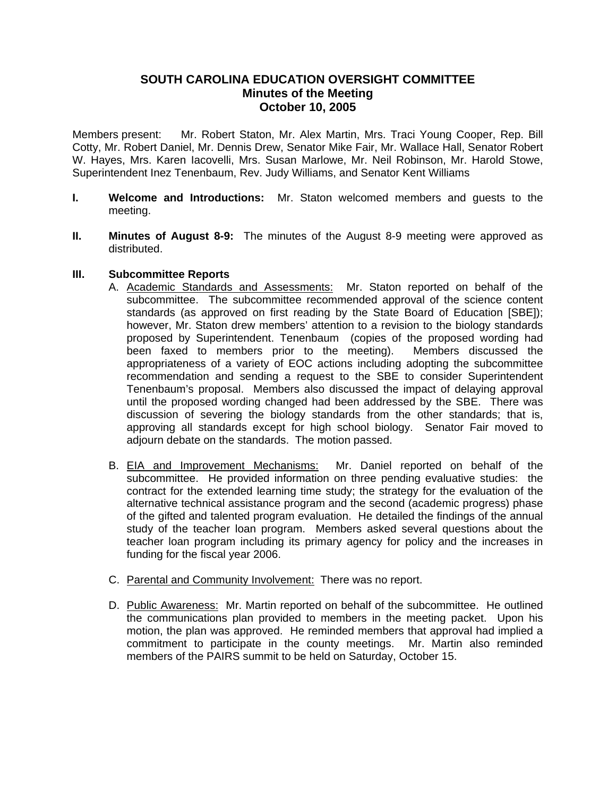## **SOUTH CAROLINA EDUCATION OVERSIGHT COMMITTEE Minutes of the Meeting October 10, 2005**

Members present: Mr. Robert Staton, Mr. Alex Martin, Mrs. Traci Young Cooper, Rep. Bill Cotty, Mr. Robert Daniel, Mr. Dennis Drew, Senator Mike Fair, Mr. Wallace Hall, Senator Robert W. Hayes, Mrs. Karen Iacovelli, Mrs. Susan Marlowe, Mr. Neil Robinson, Mr. Harold Stowe, Superintendent Inez Tenenbaum, Rev. Judy Williams, and Senator Kent Williams

- **I. Welcome and Introductions:** Mr. Staton welcomed members and guests to the meeting.
- **II. Minutes of August 8-9:** The minutes of the August 8-9 meeting were approved as distributed.

### **III. Subcommittee Reports**

- A. Academic Standards and Assessments: Mr. Staton reported on behalf of the subcommittee. The subcommittee recommended approval of the science content standards (as approved on first reading by the State Board of Education [SBE]); however, Mr. Staton drew members' attention to a revision to the biology standards proposed by Superintendent. Tenenbaum (copies of the proposed wording had been faxed to members prior to the meeting). Members discussed the appropriateness of a variety of EOC actions including adopting the subcommittee recommendation and sending a request to the SBE to consider Superintendent Tenenbaum's proposal. Members also discussed the impact of delaying approval until the proposed wording changed had been addressed by the SBE. There was discussion of severing the biology standards from the other standards; that is, approving all standards except for high school biology. Senator Fair moved to adjourn debate on the standards. The motion passed.
- B. EIA and Improvement Mechanisms: Mr. Daniel reported on behalf of the subcommittee. He provided information on three pending evaluative studies: the contract for the extended learning time study; the strategy for the evaluation of the alternative technical assistance program and the second (academic progress) phase of the gifted and talented program evaluation. He detailed the findings of the annual study of the teacher loan program. Members asked several questions about the teacher loan program including its primary agency for policy and the increases in funding for the fiscal year 2006.
- C. Parental and Community Involvement: There was no report.
- D. Public Awareness: Mr. Martin reported on behalf of the subcommittee. He outlined the communications plan provided to members in the meeting packet. Upon his motion, the plan was approved. He reminded members that approval had implied a commitment to participate in the county meetings. Mr. Martin also reminded members of the PAIRS summit to be held on Saturday, October 15.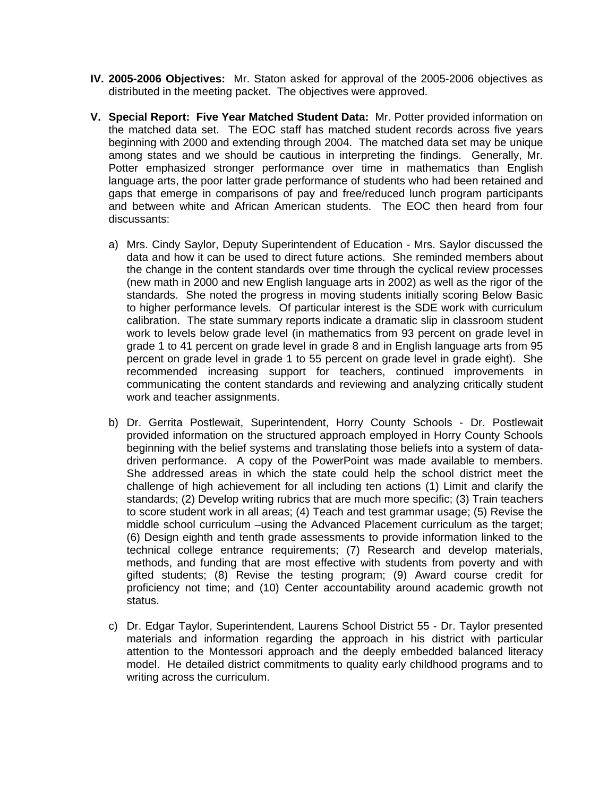- **IV. 2005-2006 Objectives:** Mr. Staton asked for approval of the 2005-2006 objectives as distributed in the meeting packet. The objectives were approved.
- **V. Special Report: Five Year Matched Student Data:** Mr. Potter provided information on the matched data set. The EOC staff has matched student records across five years beginning with 2000 and extending through 2004. The matched data set may be unique among states and we should be cautious in interpreting the findings. Generally, Mr. Potter emphasized stronger performance over time in mathematics than English language arts, the poor latter grade performance of students who had been retained and gaps that emerge in comparisons of pay and free/reduced lunch program participants and between white and African American students. The EOC then heard from four discussants:
	- a) Mrs. Cindy Saylor, Deputy Superintendent of Education Mrs. Saylor discussed the data and how it can be used to direct future actions. She reminded members about the change in the content standards over time through the cyclical review processes (new math in 2000 and new English language arts in 2002) as well as the rigor of the standards. She noted the progress in moving students initially scoring Below Basic to higher performance levels. Of particular interest is the SDE work with curriculum calibration. The state summary reports indicate a dramatic slip in classroom student work to levels below grade level (in mathematics from 93 percent on grade level in grade 1 to 41 percent on grade level in grade 8 and in English language arts from 95 percent on grade level in grade 1 to 55 percent on grade level in grade eight). She recommended increasing support for teachers, continued improvements in communicating the content standards and reviewing and analyzing critically student work and teacher assignments.
	- b) Dr. Gerrita Postlewait, Superintendent, Horry County Schools Dr. Postlewait provided information on the structured approach employed in Horry County Schools beginning with the belief systems and translating those beliefs into a system of datadriven performance. A copy of the PowerPoint was made available to members. She addressed areas in which the state could help the school district meet the challenge of high achievement for all including ten actions (1) Limit and clarify the standards; (2) Develop writing rubrics that are much more specific; (3) Train teachers to score student work in all areas; (4) Teach and test grammar usage; (5) Revise the middle school curriculum –using the Advanced Placement curriculum as the target; (6) Design eighth and tenth grade assessments to provide information linked to the technical college entrance requirements; (7) Research and develop materials, methods, and funding that are most effective with students from poverty and with gifted students; (8) Revise the testing program; (9) Award course credit for proficiency not time; and (10) Center accountability around academic growth not status.
	- c) Dr. Edgar Taylor, Superintendent, Laurens School District 55 Dr. Taylor presented materials and information regarding the approach in his district with particular attention to the Montessori approach and the deeply embedded balanced literacy model. He detailed district commitments to quality early childhood programs and to writing across the curriculum.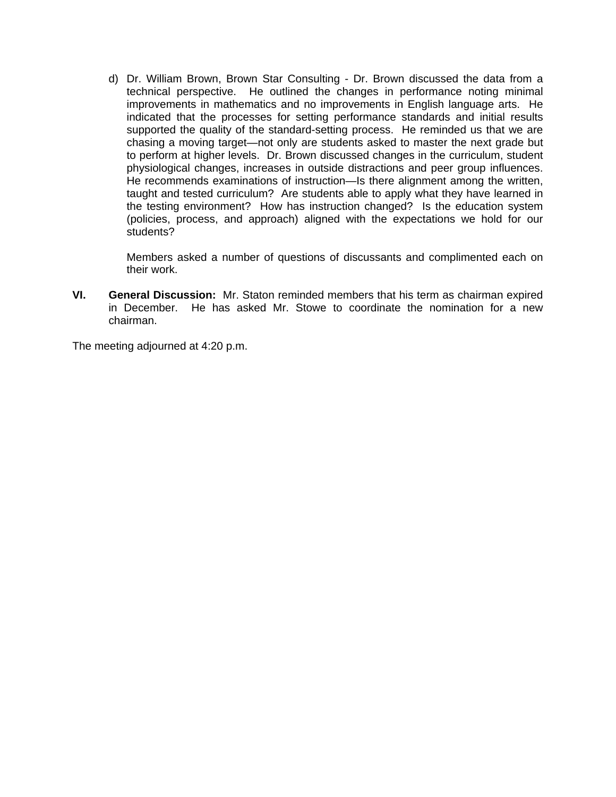d) Dr. William Brown, Brown Star Consulting - Dr. Brown discussed the data from a technical perspective. He outlined the changes in performance noting minimal improvements in mathematics and no improvements in English language arts. He indicated that the processes for setting performance standards and initial results supported the quality of the standard-setting process. He reminded us that we are chasing a moving target—not only are students asked to master the next grade but to perform at higher levels. Dr. Brown discussed changes in the curriculum, student physiological changes, increases in outside distractions and peer group influences. He recommends examinations of instruction—Is there alignment among the written, taught and tested curriculum? Are students able to apply what they have learned in the testing environment? How has instruction changed? Is the education system (policies, process, and approach) aligned with the expectations we hold for our students?

Members asked a number of questions of discussants and complimented each on their work.

**VI. General Discussion:** Mr. Staton reminded members that his term as chairman expired in December. He has asked Mr. Stowe to coordinate the nomination for a new chairman.

The meeting adjourned at 4:20 p.m.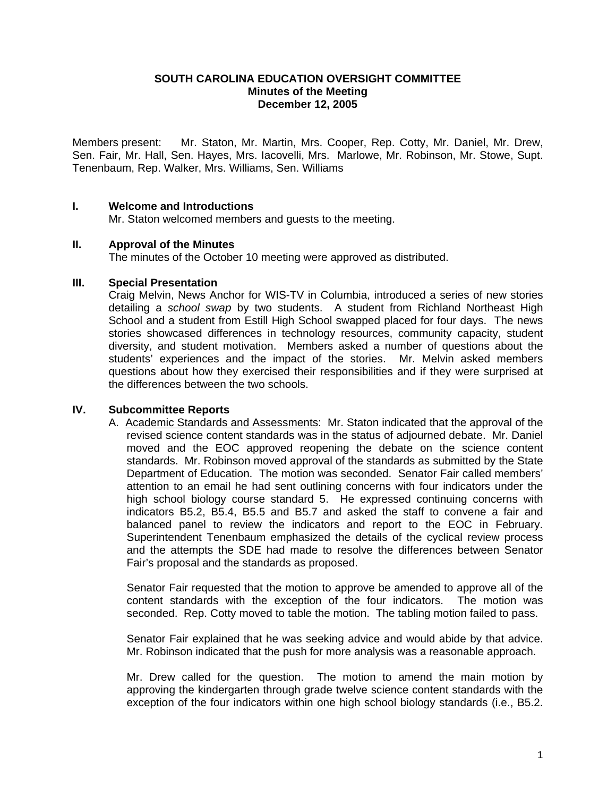#### **SOUTH CAROLINA EDUCATION OVERSIGHT COMMITTEE Minutes of the Meeting December 12, 2005**

Members present: Mr. Staton, Mr. Martin, Mrs. Cooper, Rep. Cotty, Mr. Daniel, Mr. Drew, Sen. Fair, Mr. Hall, Sen. Hayes, Mrs. Iacovelli, Mrs. Marlowe, Mr. Robinson, Mr. Stowe, Supt. Tenenbaum, Rep. Walker, Mrs. Williams, Sen. Williams

## **I. Welcome and Introductions**

Mr. Staton welcomed members and guests to the meeting.

### **II. Approval of the Minutes**

The minutes of the October 10 meeting were approved as distributed.

### **III. Special Presentation**

Craig Melvin, News Anchor for WIS-TV in Columbia, introduced a series of new stories detailing a *school swap* by two students. A student from Richland Northeast High School and a student from Estill High School swapped placed for four days. The news stories showcased differences in technology resources, community capacity, student diversity, and student motivation. Members asked a number of questions about the students' experiences and the impact of the stories. Mr. Melvin asked members questions about how they exercised their responsibilities and if they were surprised at the differences between the two schools.

## **IV. Subcommittee Reports**

A. Academic Standards and Assessments: Mr. Staton indicated that the approval of the revised science content standards was in the status of adjourned debate. Mr. Daniel moved and the EOC approved reopening the debate on the science content standards. Mr. Robinson moved approval of the standards as submitted by the State Department of Education. The motion was seconded. Senator Fair called members' attention to an email he had sent outlining concerns with four indicators under the high school biology course standard 5. He expressed continuing concerns with indicators B5.2, B5.4, B5.5 and B5.7 and asked the staff to convene a fair and balanced panel to review the indicators and report to the EOC in February. Superintendent Tenenbaum emphasized the details of the cyclical review process and the attempts the SDE had made to resolve the differences between Senator Fair's proposal and the standards as proposed.

Senator Fair requested that the motion to approve be amended to approve all of the content standards with the exception of the four indicators. The motion was seconded. Rep. Cotty moved to table the motion. The tabling motion failed to pass.

Senator Fair explained that he was seeking advice and would abide by that advice. Mr. Robinson indicated that the push for more analysis was a reasonable approach.

Mr. Drew called for the question. The motion to amend the main motion by approving the kindergarten through grade twelve science content standards with the exception of the four indicators within one high school biology standards (i.e., B5.2.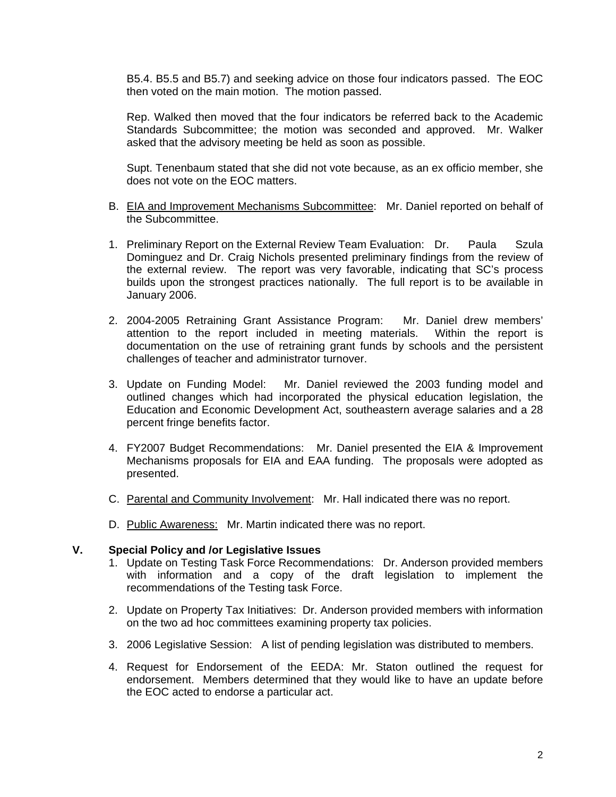B5.4. B5.5 and B5.7) and seeking advice on those four indicators passed. The EOC then voted on the main motion. The motion passed.

Rep. Walked then moved that the four indicators be referred back to the Academic Standards Subcommittee; the motion was seconded and approved. Mr. Walker asked that the advisory meeting be held as soon as possible.

Supt. Tenenbaum stated that she did not vote because, as an ex officio member, she does not vote on the EOC matters.

- B. EIA and Improvement Mechanisms Subcommittee: Mr. Daniel reported on behalf of the Subcommittee.
- 1. Preliminary Report on the External Review Team Evaluation: Dr. Paula Szula Dominguez and Dr. Craig Nichols presented preliminary findings from the review of the external review. The report was very favorable, indicating that SC's process builds upon the strongest practices nationally. The full report is to be available in January 2006.
- 2. 2004-2005 Retraining Grant Assistance Program: Mr. Daniel drew members' attention to the report included in meeting materials. Within the report is documentation on the use of retraining grant funds by schools and the persistent challenges of teacher and administrator turnover.
- 3. Update on Funding Model: Mr. Daniel reviewed the 2003 funding model and outlined changes which had incorporated the physical education legislation, the Education and Economic Development Act, southeastern average salaries and a 28 percent fringe benefits factor.
- 4. FY2007 Budget Recommendations: Mr. Daniel presented the EIA & Improvement Mechanisms proposals for EIA and EAA funding. The proposals were adopted as presented.
- C. Parental and Community Involvement: Mr. Hall indicated there was no report.
- D. Public Awareness: Mr. Martin indicated there was no report.

#### **V. Special Policy and /or Legislative Issues**

- 1. Update on Testing Task Force Recommendations: Dr. Anderson provided members with information and a copy of the draft legislation to implement the recommendations of the Testing task Force.
- 2. Update on Property Tax Initiatives: Dr. Anderson provided members with information on the two ad hoc committees examining property tax policies.
- 3. 2006 Legislative Session: A list of pending legislation was distributed to members.
- 4. Request for Endorsement of the EEDA: Mr. Staton outlined the request for endorsement. Members determined that they would like to have an update before the EOC acted to endorse a particular act.